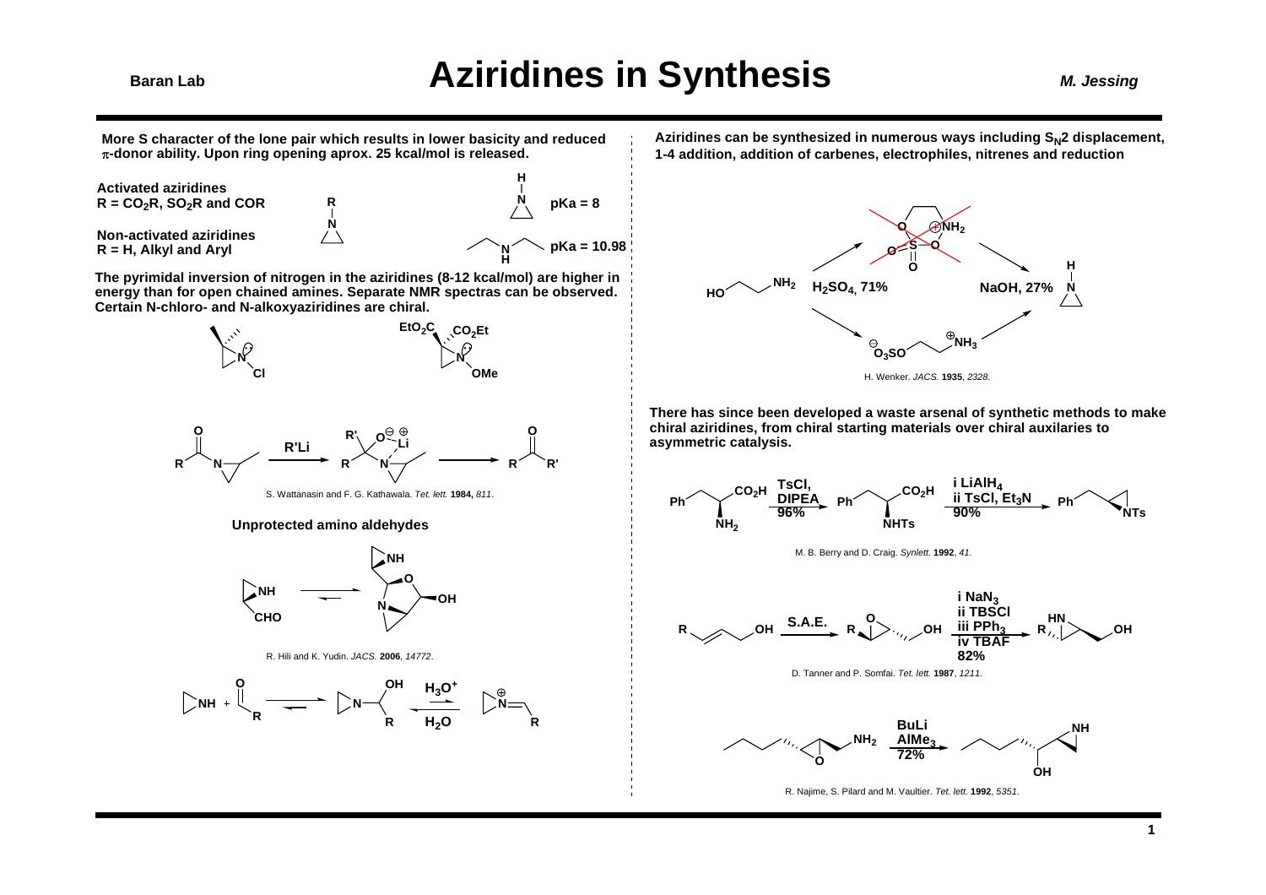**More S character of the lone pair which results in lower basicity and reduced**  π**-donor ability. Upon ring opening aprox. 25 kcal/mol is released.**

> **NR**

**Activated aziridines** $R = CO<sub>2</sub>R$ , SO<sub>2</sub>R and COR **Non-activated aziridinesR = H, Alkyl and Aryl**



**The pyrimidal inversion of nitrogen in the aziridines (8-12 kcal/mol) are higher in energy than for open chained amines. Separate NMR spectras can be observed. Certain N-chloro- and N-alkoxyaziridines are chiral.**





S. Wattanasin and F. G. Kathawala. *Tet. lett.* **1984,** *811*.

#### **Unprotected amino aldehydes**







Aziridines can be synthesized in numerous ways including S<sub>N</sub>2 displacement, **1-4 addition, addition of carbenes, electrophiles, nitrenes and reduction**



**There has since been developed a waste arsenal of synthetic methods to make chiral aziridines, from chiral starting materials over chiral auxilaries to asymmetric catalysis.**



M. B. Berry and D. Craig. *Synlett.* **1992**, *41*.





R. Najime, S. Pilard and M. Vaultier. *Tet. lett.* **1992**, *5351*.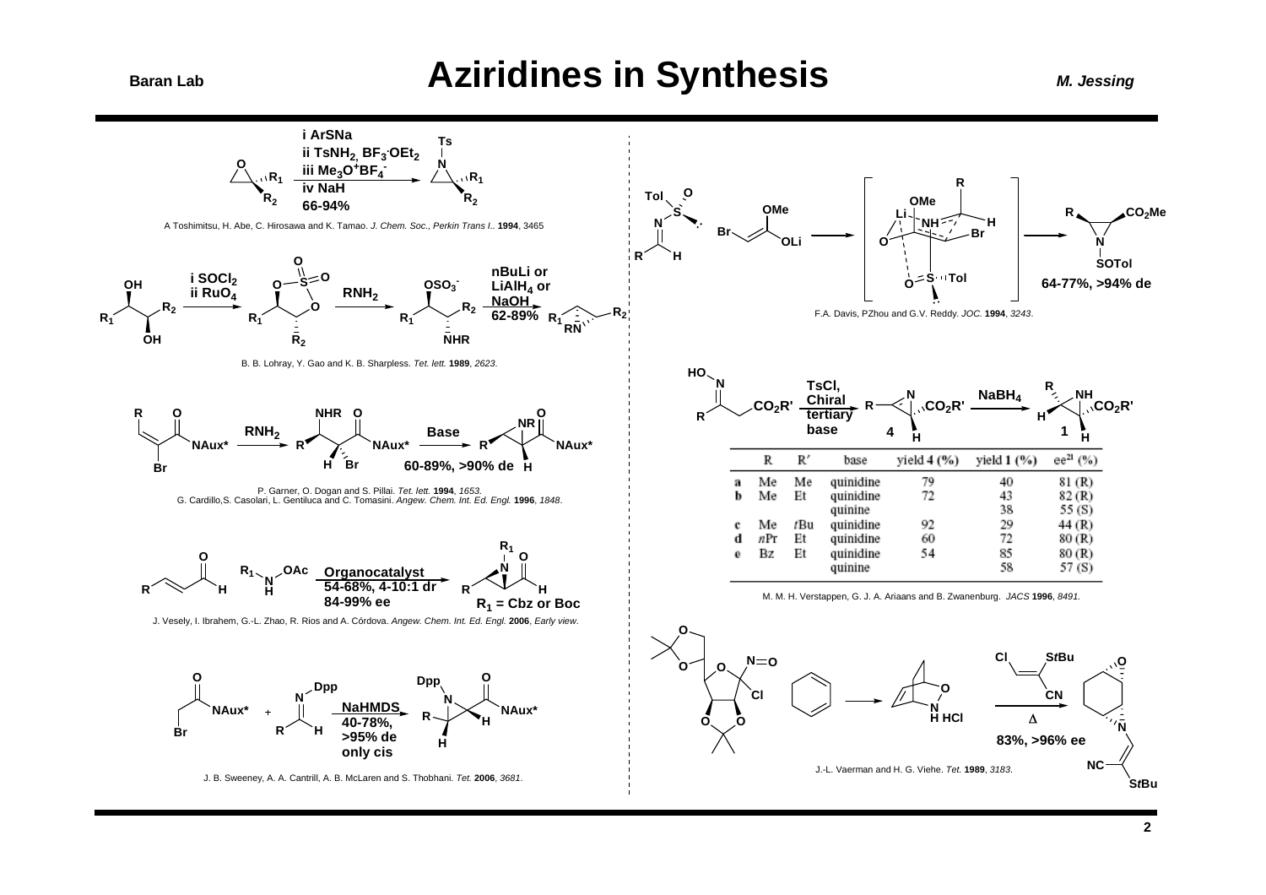### **Aziridines in Synthesis**

**M. Jessing** 

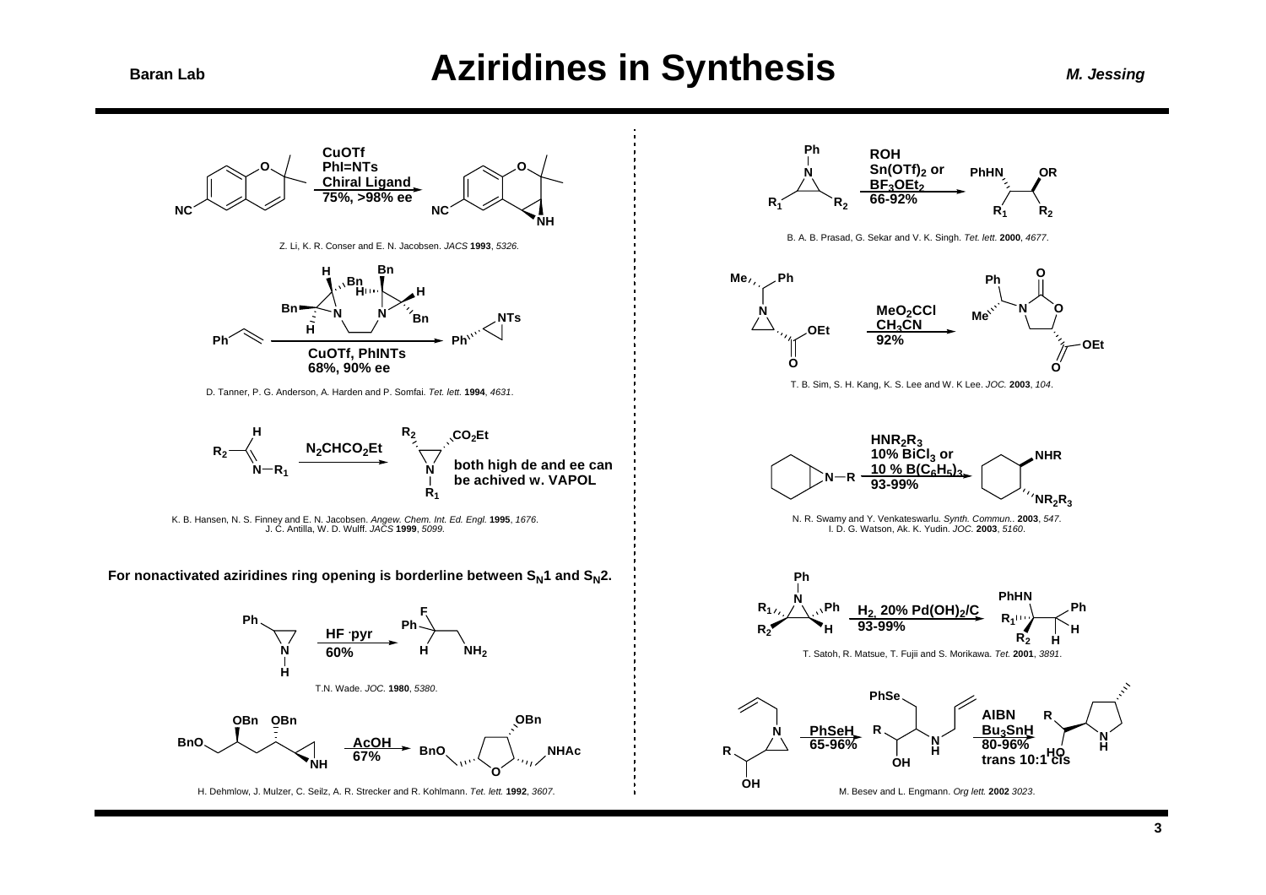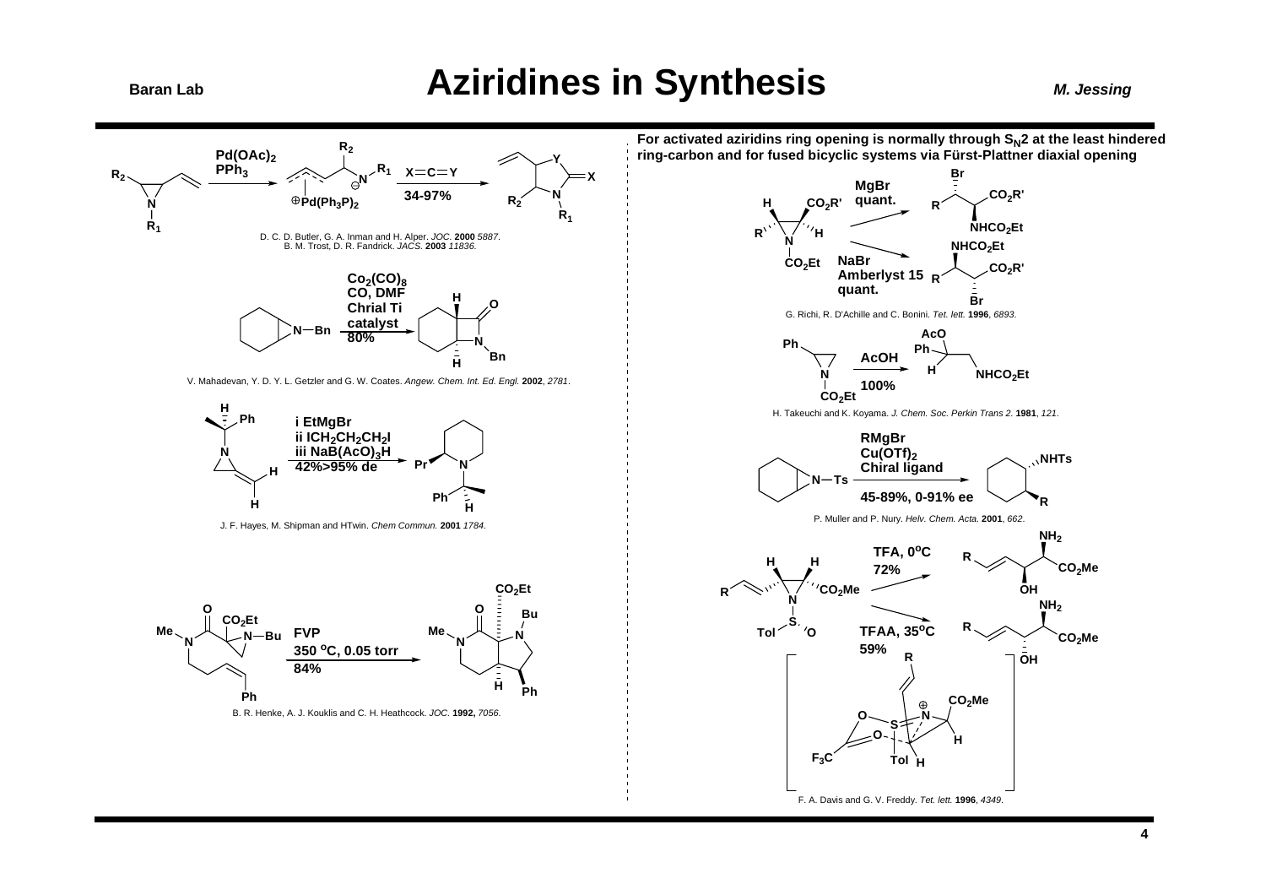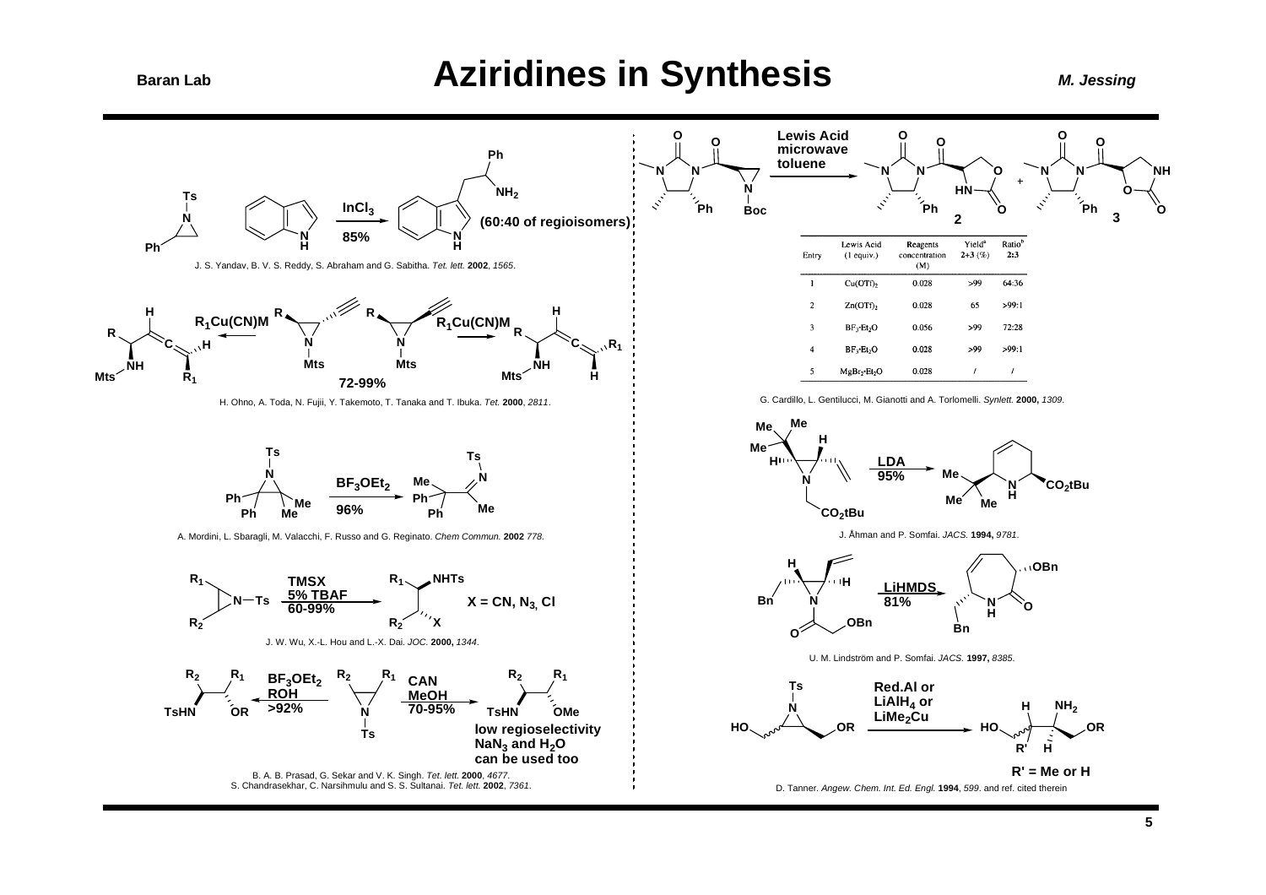**Baran Lab**

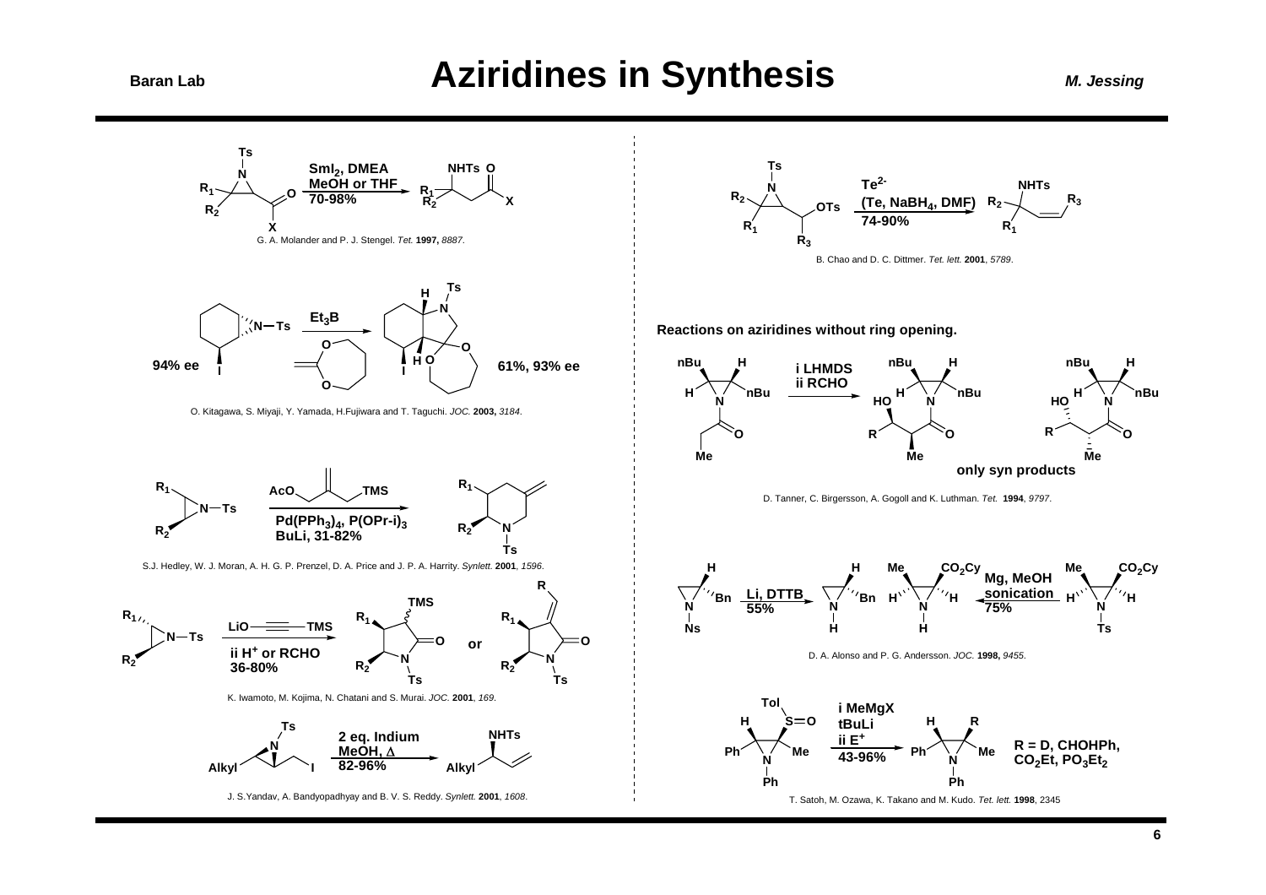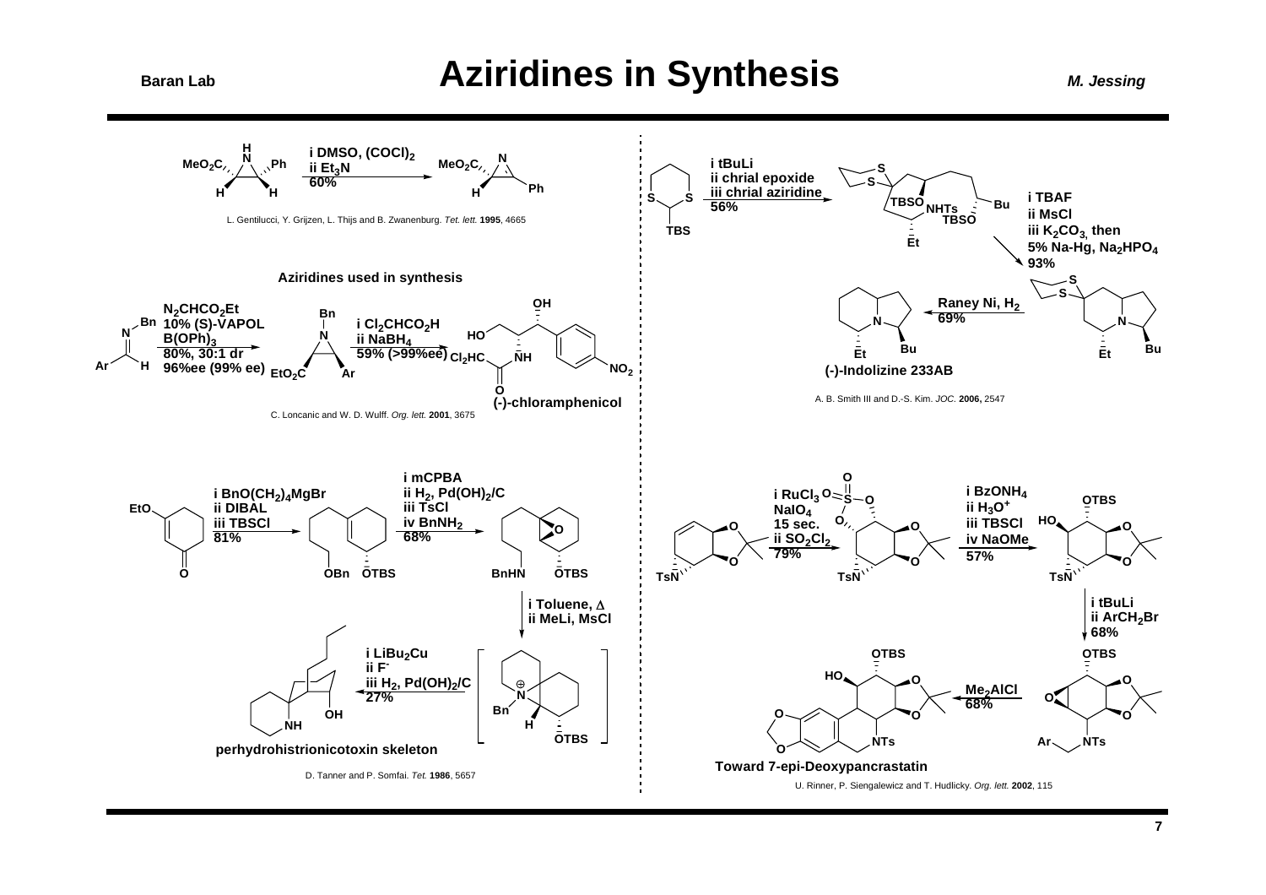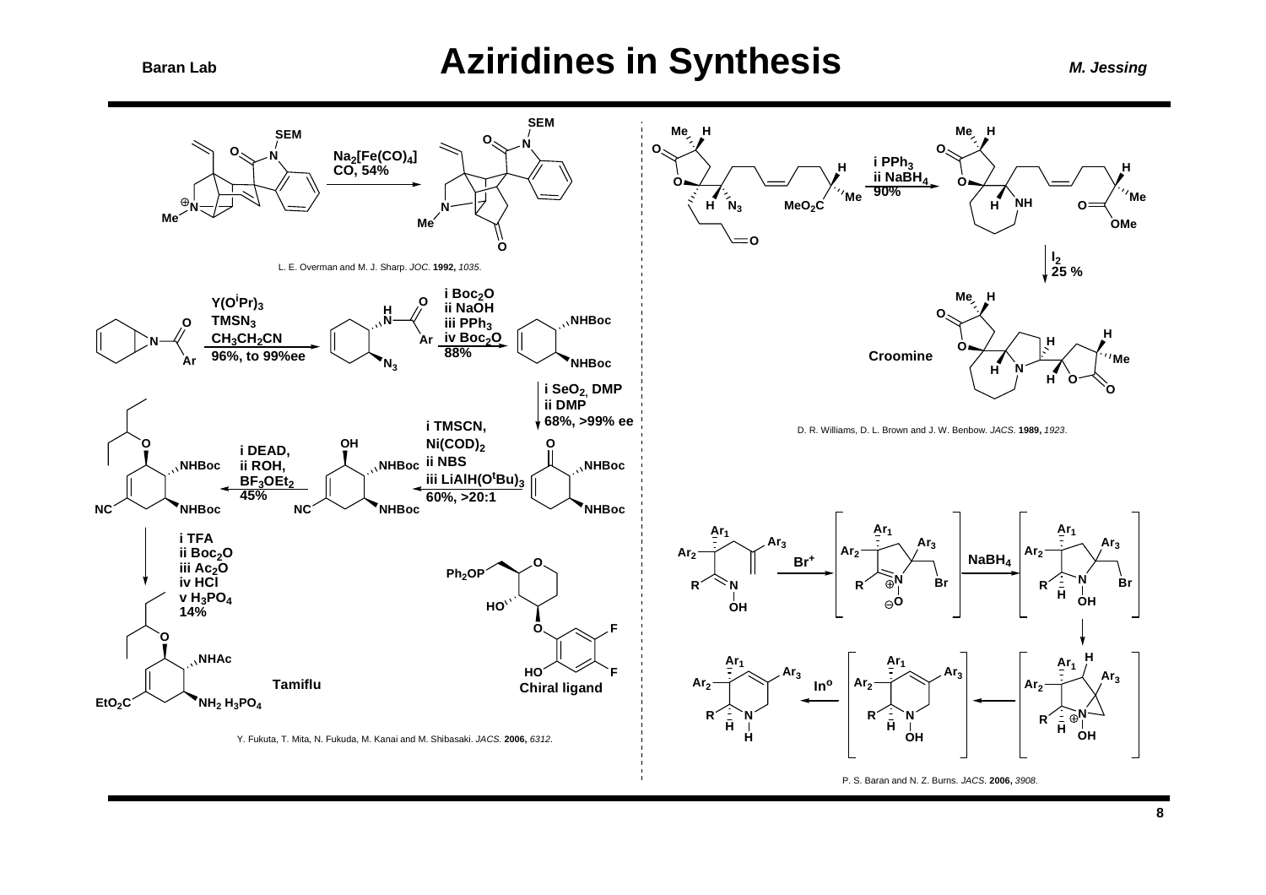